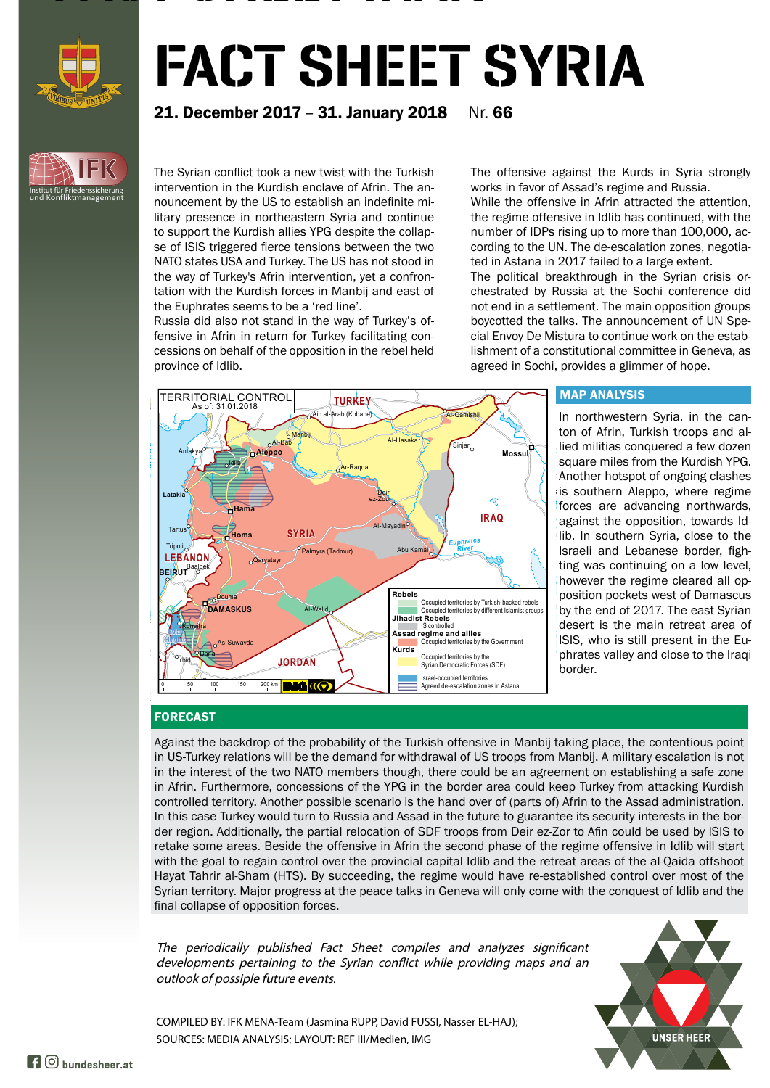

**IFK**

Institut für Friedenssicherung und Konfliktmanagement

# FACT SHEET SYRIA

## **21. December 2017 - 31. January 2018** Nr. 66

The Syrian conflict took a new twist with the Turkish intervention in the Kurdish enclave of Afrin. The announcement by the US to establish an indefinite military presence in northeastern Syria and continue to support the Kurdish allies YPG despite the collapse of ISIS triggered fierce tensions between the two NATO states USA and Turkey. The US has not stood in the way of Turkey's Afrin intervention, yet a confrontation with the Kurdish forces in Manbij and east of the Euphrates seems to be a 'red line'.

FACTOR SHEET IS SHEET IN THE SHEET IS SHEET IN

Russia did also not stand in the way of Turkey's offensive in Afrin in return for Turkey facilitating concessions on behalf of the opposition in the rebel held province of Idlib.

The offensive against the Kurds in Syria strongly works in favor of Assad's regime and Russia.

While the offensive in Afrin attracted the attention, the regime offensive in Idlib has continued, with the number of IDPs rising up to more than 100,000, according to the UN. The de-escalation zones, negotiated in Astana in 2017 failed to a large extent.

The political breakthrough in the Syrian crisis orchestrated by Russia at the Sochi conference did not end in a settlement. The main opposition groups boycotted the talks. The announcement of UN Special Envoy De Mistura to continue work on the establishment of a constitutional committee in Geneva, as agreed in Sochi, provides a glimmer of hope.



### MAP ANALYSIS

forces are advancing northwards, however the regime cleared all op-*Razzaza-See* ISIS, who is still present in the Euis southern Aleppo, where regime In northwestern Syria, in the canton of Afrin, Turkish troops and allied militias conquered a few dozen square miles from the Kurdish YPG. Another hotspot of ongoing clashes against the opposition, towards Idlib. In southern Syria, close to the Israeli and Lebanese border, fighting was continuing on a low level, position pockets west of Damascus by the end of 2017. The east Syrian desert is the main retreat area of phrates valley and close to the Iraqi border.

### FORECAST

Hebron

Against the backdrop of the probability of the Turkish offensive in Manbij taking place, the contentious point in US-Turkey relations will be the demand for withdrawal of US troops from Manbij. A military escalation is not in the interest of the two NATO members though, there could be an agreement on establishing a safe zone in Afrin. Furthermore, concessions of the YPG in the border area could keep Turkey from attacking Kurdish controlled territory. Another possible scenario is the hand over of (parts of) Afrin to the Assad administration. In this case Turkey would turn to Russia and Assad in the future to guarantee its security interests in the border region. Additionally, the partial relocation of SDF troops from Deir ez-Zor to Afin could be used by ISIS to retake some areas. Beside the offensive in Afrin the second phase of the regime offensive in Idlib will start with the goal to regain control over the provincial capital Idlib and the retreat areas of the al-Qaida offshoot Hayat Tahrir al-Sham (HTS). By succeeding, the regime would have re-established control over most of the Syrian territory. Major progress at the peace talks in Geneva will only come with the conquest of Idlib and the final collapse of opposition forces.

The periodically published Fact Sheet compiles and analyzes significant developments pertaining to the Syrian conflict while providing maps and an outlook of possiple future events.



COMPILED BY: IFK MENA-Team (Jasmina RUPP, David FUSSI, Nasser EL-HAJ); SOURCES: MEDIA ANALYSIS; LAYOUT: REF III/Medien, IMG